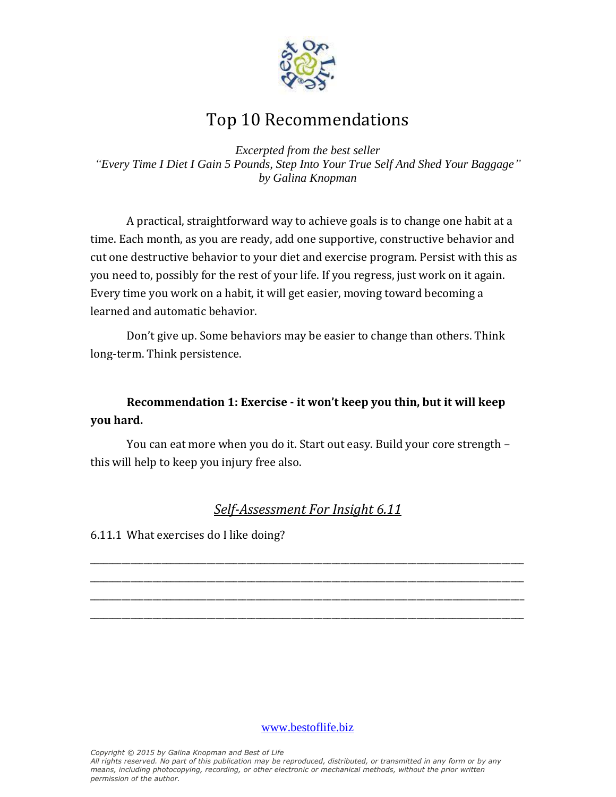

# Top 10 Recommendations

*Excerpted from the best seller "Every Time I Diet I Gain 5 Pounds, Step Into Your True Self And Shed Your Baggage" by Galina Knopman*

A practical, straightforward way to achieve goals is to change one habit at a time. Each month, as you are ready, add one supportive, constructive behavior and cut one destructive behavior to your diet and exercise program. Persist with this as you need to, possibly for the rest of your life. If you regress, just work on it again. Every time you work on a habit, it will get easier, moving toward becoming a learned and automatic behavior.

Don't give up. Some behaviors may be easier to change than others. Think long-term. Think persistence.

## **Recommendation 1: Exercise - it won't keep you thin, but it will keep you hard.**

You can eat more when you do it. Start out easy. Build your core strength – this will help to keep you injury free also.

## *Self-Assessment For Insight 6.11*

\_\_\_\_\_\_\_\_\_\_\_\_\_\_\_\_\_\_\_\_\_\_\_\_\_\_\_\_\_\_\_\_\_\_\_\_\_\_\_\_\_\_\_\_\_\_\_\_\_\_\_\_\_\_\_\_\_\_\_\_\_\_\_\_\_\_\_\_\_\_\_\_\_\_\_\_\_\_\_\_\_\_\_\_\_\_\_\_\_\_\_\_\_\_\_\_\_ \_\_\_\_\_\_\_\_\_\_\_\_\_\_\_\_\_\_\_\_\_\_\_\_\_\_\_\_\_\_\_\_\_\_\_\_\_\_\_\_\_\_\_\_\_\_\_\_\_\_\_\_\_\_\_\_\_\_\_\_\_\_\_\_\_\_\_\_\_\_\_\_\_\_\_\_\_\_\_\_\_\_\_\_\_\_\_\_\_\_\_\_\_\_\_\_\_ \_\_\_\_\_\_\_\_\_\_\_\_\_\_\_\_\_\_\_\_\_\_\_\_\_\_\_\_\_\_\_\_\_\_\_\_\_\_\_\_\_\_\_\_\_\_\_\_\_\_\_\_\_\_\_\_\_\_\_\_\_\_\_\_\_\_\_\_\_\_\_\_\_\_\_\_\_\_\_\_\_\_\_\_\_\_\_\_\_\_\_\_\_\_\_\_\_ \_\_\_\_\_\_\_\_\_\_\_\_\_\_\_\_\_\_\_\_\_\_\_\_\_\_\_\_\_\_\_\_\_\_\_\_\_\_\_\_\_\_\_\_\_\_\_\_\_\_\_\_\_\_\_\_\_\_\_\_\_\_\_\_\_\_\_\_\_\_\_\_\_\_\_\_\_\_\_\_\_\_\_\_\_\_\_\_\_\_\_\_\_\_\_\_\_

6.11.1 What exercises do I like doing?

[www.bestoflife.biz](http://www.bestoflife.biz/)

*Copyright © 2015 by Galina Knopman and Best of Life All rights reserved. No part of this publication may be reproduced, distributed, or transmitted in any form or by any means, including photocopying, recording, or other electronic or mechanical methods, without the prior written permission of the author.*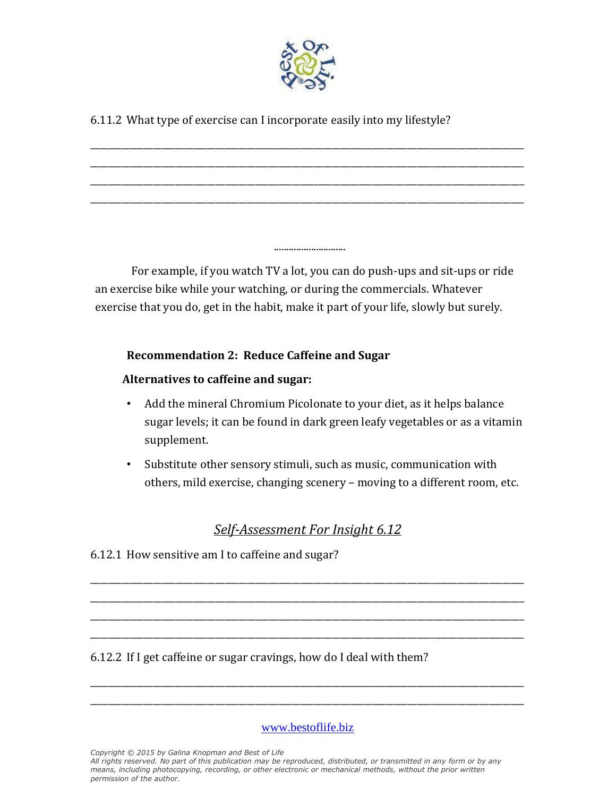

\_\_\_\_\_\_\_\_\_\_\_\_\_\_\_\_\_\_\_\_\_\_\_\_\_\_\_\_\_\_\_\_\_\_\_\_\_\_\_\_\_\_\_\_\_\_\_\_\_\_\_\_\_\_\_\_\_\_\_\_\_\_\_\_\_\_\_\_\_\_\_\_\_\_\_\_\_\_\_\_\_\_\_\_\_\_\_\_\_\_\_\_\_\_\_\_\_ \_\_\_\_\_\_\_\_\_\_\_\_\_\_\_\_\_\_\_\_\_\_\_\_\_\_\_\_\_\_\_\_\_\_\_\_\_\_\_\_\_\_\_\_\_\_\_\_\_\_\_\_\_\_\_\_\_\_\_\_\_\_\_\_\_\_\_\_\_\_\_\_\_\_\_\_\_\_\_\_\_\_\_\_\_\_\_\_\_\_\_\_\_\_\_\_\_ \_\_\_\_\_\_\_\_\_\_\_\_\_\_\_\_\_\_\_\_\_\_\_\_\_\_\_\_\_\_\_\_\_\_\_\_\_\_\_\_\_\_\_\_\_\_\_\_\_\_\_\_\_\_\_\_\_\_\_\_\_\_\_\_\_\_\_\_\_\_\_\_\_\_\_\_\_\_\_\_\_\_\_\_\_\_\_\_\_\_\_\_\_\_\_\_\_ \_\_\_\_\_\_\_\_\_\_\_\_\_\_\_\_\_\_\_\_\_\_\_\_\_\_\_\_\_\_\_\_\_\_\_\_\_\_\_\_\_\_\_\_\_\_\_\_\_\_\_\_\_\_\_\_\_\_\_\_\_\_\_\_\_\_\_\_\_\_\_\_\_\_\_\_\_\_\_\_\_\_\_\_\_\_\_\_\_\_\_\_\_\_\_\_\_

6.11.2 What type of exercise can I incorporate easily into my lifestyle?

For example, if you watch TV a lot, you can do push-ups and sit-ups or ride an exercise bike while your watching, or during the commercials. Whatever exercise that you do, get in the habit, make it part of your life, slowly but surely.

.............................

#### **Recommendation 2: Reduce Caffeine and Sugar**

#### **Alternatives to caffeine and sugar:**

- Add the mineral Chromium Picolonate to your diet, as it helps balance sugar levels; it can be found in dark green leafy vegetables or as a vitamin supplement.
- Substitute other sensory stimuli, such as music, communication with others, mild exercise, changing scenery – moving to a different room, etc.

### *Self-Assessment For Insight 6.12*

\_\_\_\_\_\_\_\_\_\_\_\_\_\_\_\_\_\_\_\_\_\_\_\_\_\_\_\_\_\_\_\_\_\_\_\_\_\_\_\_\_\_\_\_\_\_\_\_\_\_\_\_\_\_\_\_\_\_\_\_\_\_\_\_\_\_\_\_\_\_\_\_\_\_\_\_\_\_\_\_\_\_\_\_\_\_\_\_\_\_\_\_\_\_\_\_\_ \_\_\_\_\_\_\_\_\_\_\_\_\_\_\_\_\_\_\_\_\_\_\_\_\_\_\_\_\_\_\_\_\_\_\_\_\_\_\_\_\_\_\_\_\_\_\_\_\_\_\_\_\_\_\_\_\_\_\_\_\_\_\_\_\_\_\_\_\_\_\_\_\_\_\_\_\_\_\_\_\_\_\_\_\_\_\_\_\_\_\_\_\_\_\_\_\_ \_\_\_\_\_\_\_\_\_\_\_\_\_\_\_\_\_\_\_\_\_\_\_\_\_\_\_\_\_\_\_\_\_\_\_\_\_\_\_\_\_\_\_\_\_\_\_\_\_\_\_\_\_\_\_\_\_\_\_\_\_\_\_\_\_\_\_\_\_\_\_\_\_\_\_\_\_\_\_\_\_\_\_\_\_\_\_\_\_\_\_\_\_\_\_\_\_ \_\_\_\_\_\_\_\_\_\_\_\_\_\_\_\_\_\_\_\_\_\_\_\_\_\_\_\_\_\_\_\_\_\_\_\_\_\_\_\_\_\_\_\_\_\_\_\_\_\_\_\_\_\_\_\_\_\_\_\_\_\_\_\_\_\_\_\_\_\_\_\_\_\_\_\_\_\_\_\_\_\_\_\_\_\_\_\_\_\_\_\_\_\_\_\_\_

6.12.1 How sensitive am I to caffeine and sugar?

6.12.2 If I get caffeine or sugar cravings, how do I deal with them?

[www.bestoflife.biz](http://www.bestoflife.biz/)

\_\_\_\_\_\_\_\_\_\_\_\_\_\_\_\_\_\_\_\_\_\_\_\_\_\_\_\_\_\_\_\_\_\_\_\_\_\_\_\_\_\_\_\_\_\_\_\_\_\_\_\_\_\_\_\_\_\_\_\_\_\_\_\_\_\_\_\_\_\_\_\_\_\_\_\_\_\_\_\_\_\_\_\_\_\_\_\_\_\_\_\_\_\_\_\_\_ \_\_\_\_\_\_\_\_\_\_\_\_\_\_\_\_\_\_\_\_\_\_\_\_\_\_\_\_\_\_\_\_\_\_\_\_\_\_\_\_\_\_\_\_\_\_\_\_\_\_\_\_\_\_\_\_\_\_\_\_\_\_\_\_\_\_\_\_\_\_\_\_\_\_\_\_\_\_\_\_\_\_\_\_\_\_\_\_\_\_\_\_\_\_\_\_\_

*Copyright © 2015 by Galina Knopman and Best of Life All rights reserved. No part of this publication may be reproduced, distributed, or transmitted in any form or by any means, including photocopying, recording, or other electronic or mechanical methods, without the prior written permission of the author.*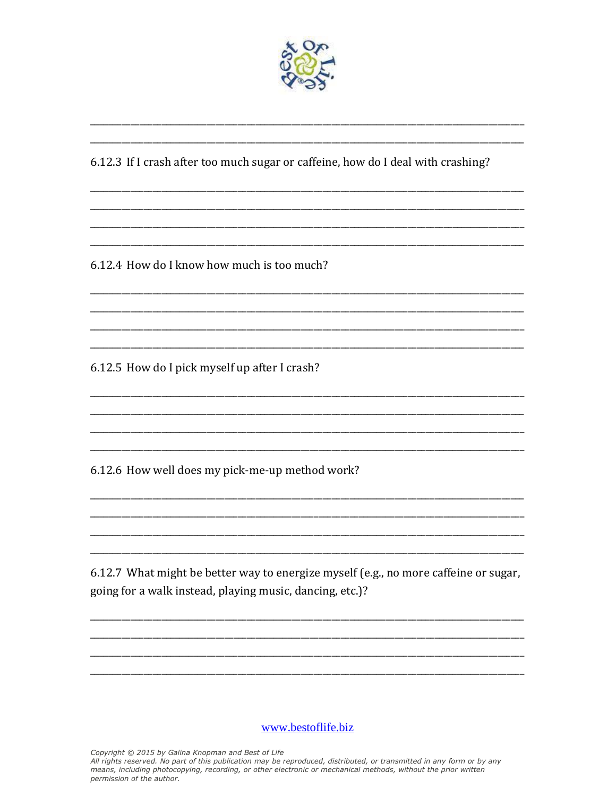

6.12.3 If I crash after too much sugar or caffeine, how do I deal with crashing?

6.12.4 How do I know how much is too much?

6.12.5 How do I pick myself up after I crash?

6.12.6 How well does my pick-me-up method work?

6.12.7 What might be better way to energize myself (e.g., no more caffeine or sugar, going for a walk instead, playing music, dancing, etc.)?

www.bestoflife.biz

Copyright © 2015 by Galina Knopman and Best of Life<br>All rights reserved. No part of this publication may be reproduced, distributed, or transmitted in any form or by any means, including photocopying, recording, or other electronic or mechanical methods, without the prior written permission of the author.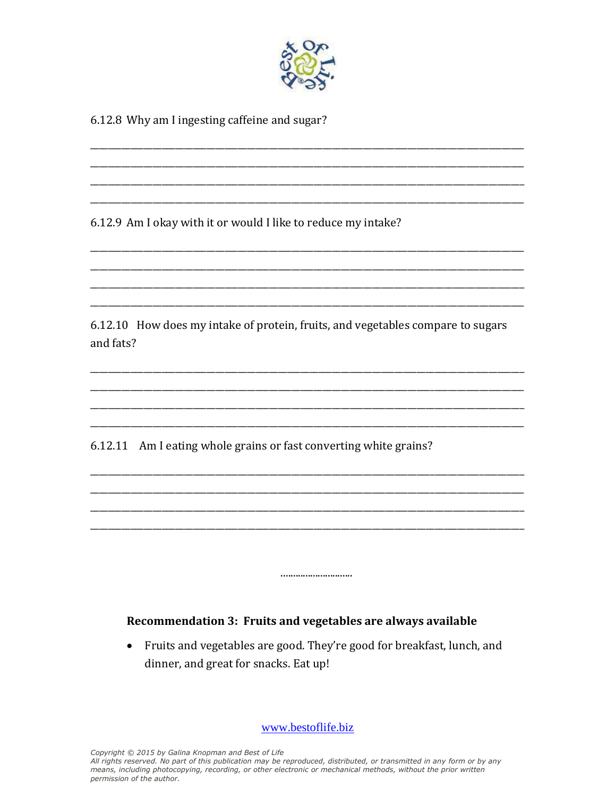

6.12.8 Why am I ingesting caffeine and sugar?

6.12.9 Am I okay with it or would I like to reduce my intake?

6.12.10 How does my intake of protein, fruits, and vegetables compare to sugars and fats?

6.12.11 Am I eating whole grains or fast converting white grains?

#### Recommendation 3: Fruits and vegetables are always available

Fruits and vegetables are good. They're good for breakfast, lunch, and  $\bullet$ dinner, and great for snacks. Eat up!

.............................

www.bestoflife.biz

Copyright © 2015 by Galina Knopman and Best of Life

All rights reserved. No part of this publication may be reproduced, distributed, or transmitted in any form or by any means, including photocopying, recording, or other electronic or mechanical methods, without the prior written permission of the author.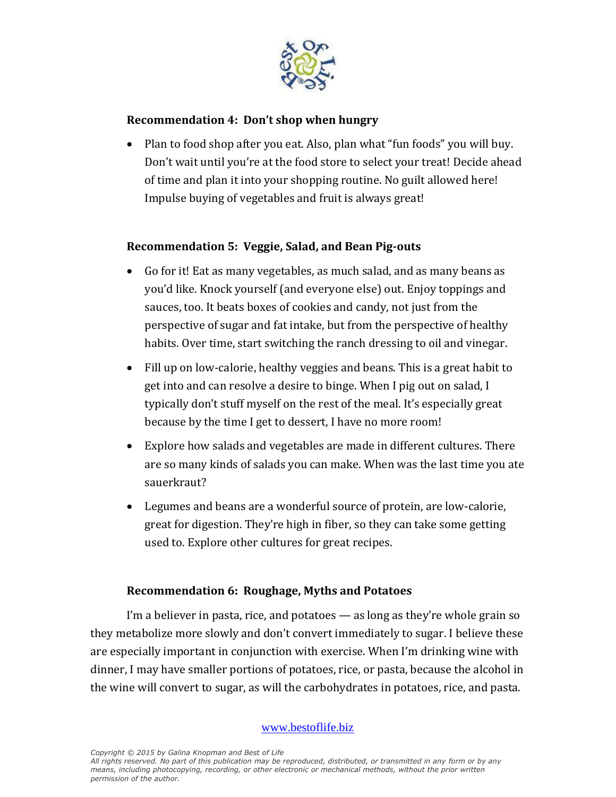

#### **Recommendation 4: Don't shop when hungry**

• Plan to food shop after you eat. Also, plan what "fun foods" you will buy. Don't wait until you're at the food store to select your treat! Decide ahead of time and plan it into your shopping routine. No guilt allowed here! Impulse buying of vegetables and fruit is always great!

#### **Recommendation 5: Veggie, Salad, and Bean Pig-outs**

- Go for it! Eat as many vegetables, as much salad, and as many beans as you'd like. Knock yourself (and everyone else) out. Enjoy toppings and sauces, too. It beats boxes of cookies and candy, not just from the perspective of sugar and fat intake, but from the perspective of healthy habits. Over time, start switching the ranch dressing to oil and vinegar.
- Fill up on low-calorie, healthy veggies and beans. This is a great habit to get into and can resolve a desire to binge. When I pig out on salad, I typically don't stuff myself on the rest of the meal. It's especially great because by the time I get to dessert, I have no more room!
- Explore how salads and vegetables are made in different cultures. There are so many kinds of salads you can make. When was the last time you ate sauerkraut?
- Legumes and beans are a wonderful source of protein, are low-calorie, great for digestion. They're high in fiber, so they can take some getting used to. Explore other cultures for great recipes.

#### **Recommendation 6: Roughage, Myths and Potatoes**

I'm a believer in pasta, rice, and potatoes — as long as they're whole grain so they metabolize more slowly and don't convert immediately to sugar. I believe these are especially important in conjunction with exercise. When I'm drinking wine with dinner, I may have smaller portions of potatoes, rice, or pasta, because the alcohol in the wine will convert to sugar, as will the carbohydrates in potatoes, rice, and pasta.

[www.bestoflife.biz](http://www.bestoflife.biz/)

*Copyright © 2015 by Galina Knopman and Best of Life*

*All rights reserved. No part of this publication may be reproduced, distributed, or transmitted in any form or by any means, including photocopying, recording, or other electronic or mechanical methods, without the prior written permission of the author.*